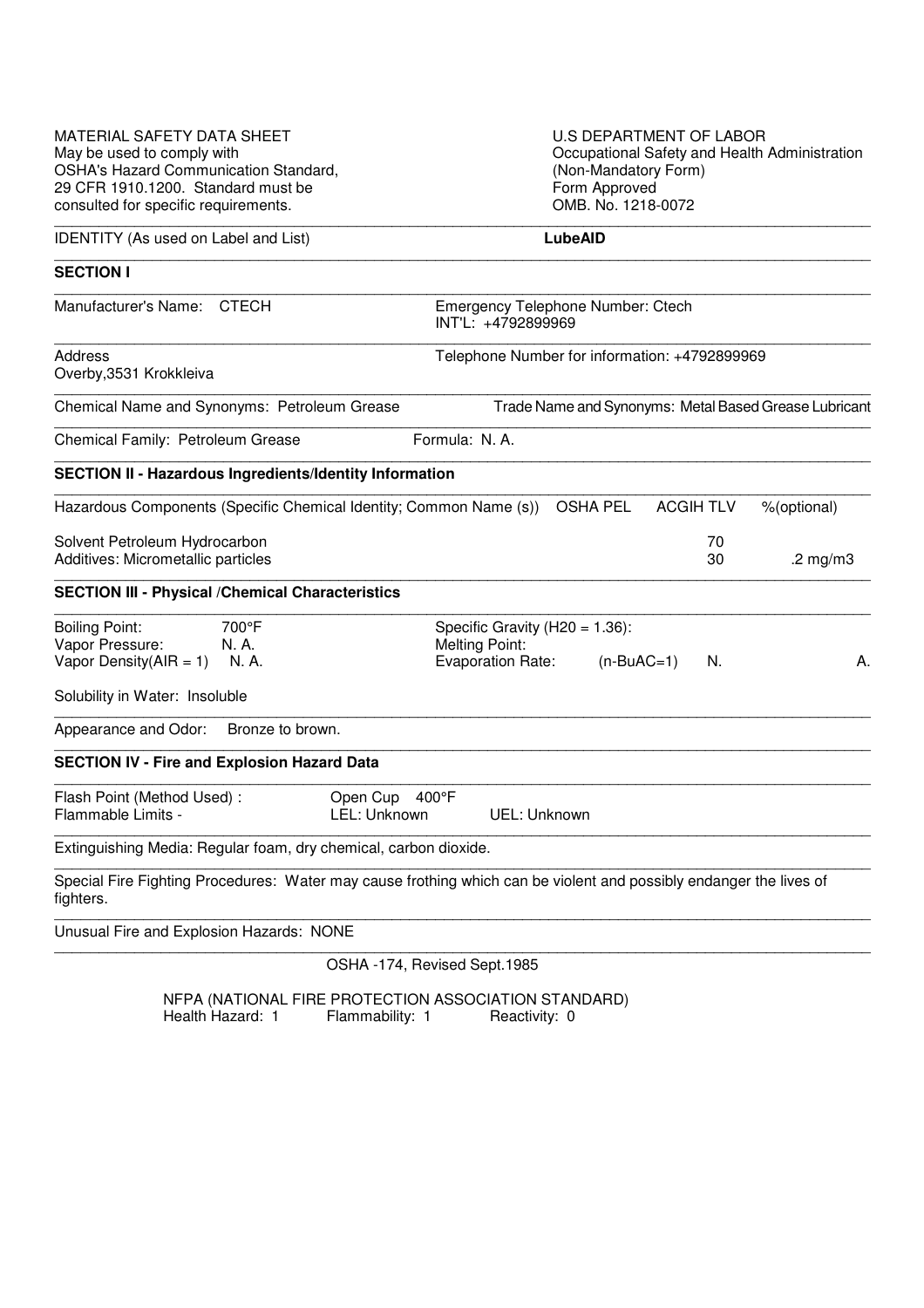| <b>MATERIAL SAFETY DATA SHEET</b><br>May be used to comply with<br><b>OSHA's Hazard Communication Standard,</b> | U.S DEPARTMENT OF LABOR<br>Occupational Safety and Health Administration<br>(Non-Mandatory Form)                    |
|-----------------------------------------------------------------------------------------------------------------|---------------------------------------------------------------------------------------------------------------------|
| 29 CFR 1910.1200. Standard must be<br>consulted for specific requirements.                                      | Form Approved<br>OMB. No. 1218-0072                                                                                 |
| <b>IDENTITY</b> (As used on Label and List)                                                                     | <b>LubeAID</b>                                                                                                      |
| <b>SECTION I</b>                                                                                                |                                                                                                                     |
| Manufacturer's Name: CTECH                                                                                      | Emergency Telephone Number: Ctech<br>INT'L: +4792899969                                                             |
| <b>Address</b><br>Overby, 3531 Krokkleiva                                                                       | Telephone Number for information: +4792899969                                                                       |
| Chemical Name and Synonyms: Petroleum Grease                                                                    | Trade Name and Synonyms: Metal Based Grease Lubricant                                                               |
| Chemical Family: Petroleum Grease                                                                               | Formula: N.A.                                                                                                       |
| <b>SECTION II - Hazardous Ingredients/Identity Information</b>                                                  |                                                                                                                     |
| Hazardous Components (Specific Chemical Identity; Common Name (s))                                              | <b>ACGIH TLV</b><br><b>OSHA PEL</b><br>%(optional)                                                                  |
| Solvent Petroleum Hydrocarbon<br>Additives: Micrometallic particles                                             | 70<br>30<br>.2 $mg/m3$                                                                                              |
| <b>SECTION III - Physical / Chemical Characteristics</b>                                                        |                                                                                                                     |
| <b>Boiling Point:</b><br>700°F<br>Vapor Pressure:<br>N. A.<br>Vapor Density $(AIR = 1)$<br>N. A.                | Specific Gravity ( $H20 = 1.36$ ):<br><b>Melting Point:</b><br><b>Evaporation Rate:</b><br>$(n-BuAC=1)$<br>N.<br>А. |
| Solubility in Water: Insoluble                                                                                  |                                                                                                                     |
| Appearance and Odor:<br>Bronze to brown.                                                                        |                                                                                                                     |
| <b>SECTION IV - Fire and Explosion Hazard Data</b>                                                              |                                                                                                                     |
| Flash Point (Method Used):<br>Flammable Limits -                                                                | Open Cup<br>$400^{\circ}$ F<br>LEL: Unknown<br>UEL: Unknown                                                         |
| Extinguishing Media: Regular foam, dry chemical, carbon dioxide.                                                |                                                                                                                     |
| fighters.                                                                                                       | Special Fire Fighting Procedures: Water may cause frothing which can be violent and possibly endanger the lives of  |
| Unusual Fire and Explosion Hazards: NONE                                                                        |                                                                                                                     |
|                                                                                                                 | OSHA -174, Revised Sept.1985                                                                                        |

NFPA (NATIONAL FIRE PROTECTION ASSOCIATION STANDARD) Health Hazard: 1 Flammability: 1 Reactivity: 0